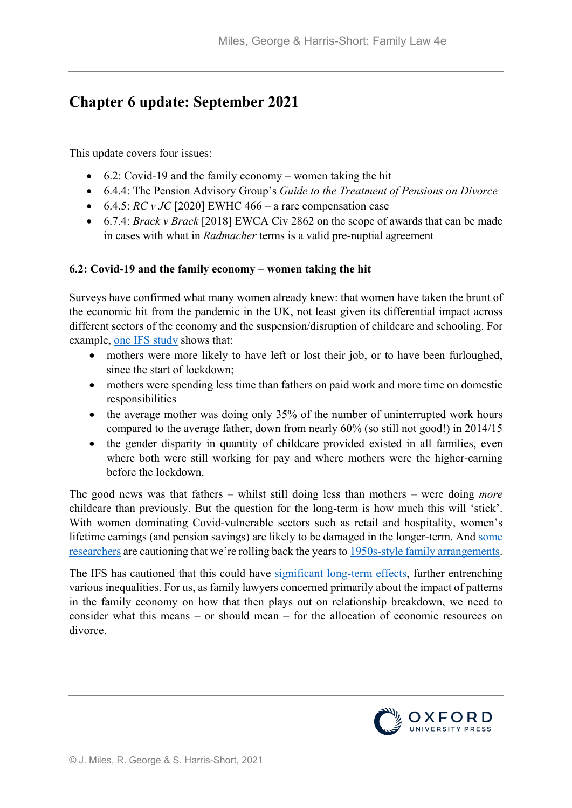# **Chapter 6 update: September 2021**

This update covers four issues:

- 6.2: Covid-19 and the family economy women taking the hit
- 6.4.4: The Pension Advisory Group's *Guide to the Treatment of Pensions on Divorce*
- $\bullet$  6.4.5: *RC v JC* [2020] EWHC 466 a rare compensation case
- 6.7.4: *Brack v Brack* [2018] EWCA Civ 2862 on the scope of awards that can be made in cases with what in *Radmacher* terms is a valid pre-nuptial agreement

## **6.2: Covid-19 and the family economy – women taking the hit**

Surveys have confirmed what many women already knew: that women have taken the brunt of the economic hit from the pandemic in the UK, not least given its differential impact across different sectors of the economy and the suspension/disruption of childcare and schooling. For example, [one IFS study](https://www.ifs.org.uk/publications/14860) shows that:

- mothers were more likely to have left or lost their job, or to have been furloughed, since the start of lockdown;
- mothers were spending less time than fathers on paid work and more time on domestic responsibilities
- the average mother was doing only 35% of the number of uninterrupted work hours compared to the average father, down from nearly 60% (so still not good!) in 2014/15
- the gender disparity in quantity of childcare provided existed in all families, even where both were still working for pay and where mothers were the higher-earning before the lockdown.

The good news was that fathers – whilst still doing less than mothers – were doing *more*  childcare than previously. But the question for the long-term is how much this will 'stick'. With women dominating Covid-vulnerable sectors such as retail and hospitality, women's lifetime earnings (and pension savings) are likely to be damaged in the longer-term. And [some](http://www.sussex.ac.uk/broadcast/read/52267)  [researchers](http://www.sussex.ac.uk/broadcast/read/52267) are cautioning that we're rolling back the years to [1950s-style family arrangements.](https://www.theguardian.com/inequality/2020/jun/18/uk-society-regressing-back-to-1950s-for-many-women-warn-experts-worsening-inequality-lockdown-childcare)

The IFS has cautioned that this could have [significant long-term effects,](https://www.ifs.org.uk/publications/14879) further entrenching various inequalities. For us, as family lawyers concerned primarily about the impact of patterns in the family economy on how that then plays out on relationship breakdown, we need to consider what this means – or should mean – for the allocation of economic resources on divorce.

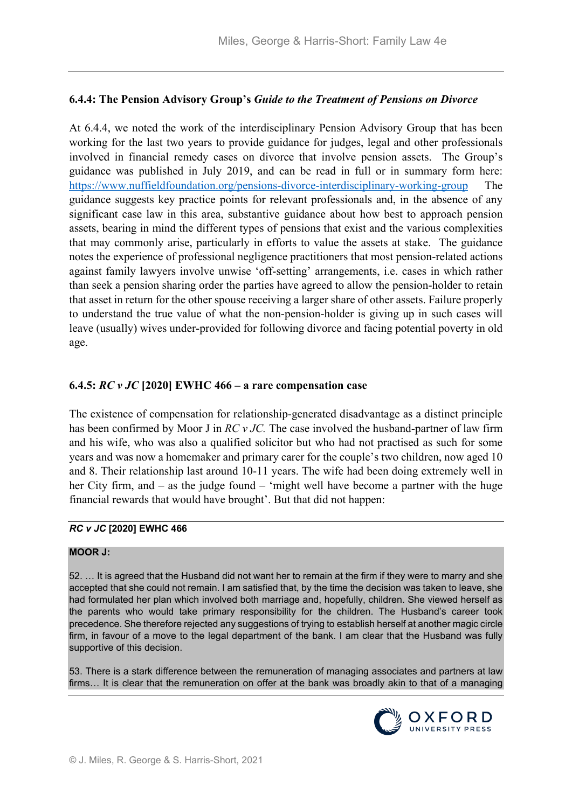## **6.4.4: The Pension Advisory Group's** *Guide to the Treatment of Pensions on Divorce*

At 6.4.4, we noted the work of the interdisciplinary Pension Advisory Group that has been working for the last two years to provide guidance for judges, legal and other professionals involved in financial remedy cases on divorce that involve pension assets. The Group's guidance was published in July 2019, and can be read in full or in summary form here: <https://www.nuffieldfoundation.org/pensions-divorce-interdisciplinary-working-group>The guidance suggests key practice points for relevant professionals and, in the absence of any significant case law in this area, substantive guidance about how best to approach pension assets, bearing in mind the different types of pensions that exist and the various complexities that may commonly arise, particularly in efforts to value the assets at stake. The guidance notes the experience of professional negligence practitioners that most pension-related actions against family lawyers involve unwise 'off-setting' arrangements, i.e. cases in which rather than seek a pension sharing order the parties have agreed to allow the pension-holder to retain that asset in return for the other spouse receiving a larger share of other assets. Failure properly to understand the true value of what the non-pension-holder is giving up in such cases will leave (usually) wives under-provided for following divorce and facing potential poverty in old age.

## **6.4.5:** *RC v JC* **[2020] EWHC 466 – a rare compensation case**

The existence of compensation for relationship-generated disadvantage as a distinct principle has been confirmed by Moor J in *RC v JC.* The case involved the husband-partner of law firm and his wife, who was also a qualified solicitor but who had not practised as such for some years and was now a homemaker and primary carer for the couple's two children, now aged 10 and 8. Their relationship last around 10-11 years. The wife had been doing extremely well in her City firm, and – as the judge found – 'might well have become a partner with the huge financial rewards that would have brought'. But that did not happen:

## *RC v JC* **[2020] EWHC 466**

#### **MOOR J:**

52. … It is agreed that the Husband did not want her to remain at the firm if they were to marry and she accepted that she could not remain. I am satisfied that, by the time the decision was taken to leave, she had formulated her plan which involved both marriage and, hopefully, children. She viewed herself as the parents who would take primary responsibility for the children. The Husband's career took precedence. She therefore rejected any suggestions of trying to establish herself at another magic circle firm, in favour of a move to the legal department of the bank. I am clear that the Husband was fully supportive of this decision.

53. There is a stark difference between the remuneration of managing associates and partners at law firms… It is clear that the remuneration on offer at the bank was broadly akin to that of a managing

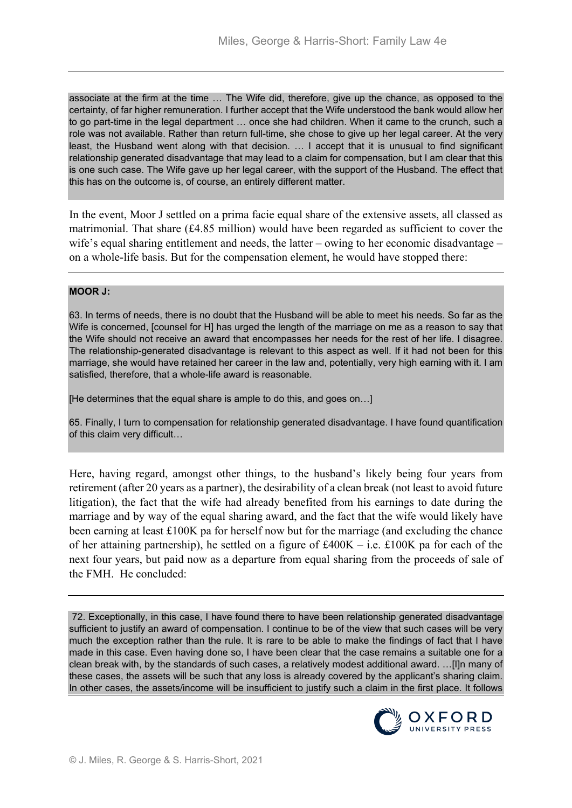associate at the firm at the time … The Wife did, therefore, give up the chance, as opposed to the certainty, of far higher remuneration. I further accept that the Wife understood the bank would allow her to go part-time in the legal department … once she had children. When it came to the crunch, such a role was not available. Rather than return full-time, she chose to give up her legal career. At the very least, the Husband went along with that decision. … I accept that it is unusual to find significant relationship generated disadvantage that may lead to a claim for compensation, but I am clear that this is one such case. The Wife gave up her legal career, with the support of the Husband. The effect that this has on the outcome is, of course, an entirely different matter.

In the event, Moor J settled on a prima facie equal share of the extensive assets, all classed as matrimonial. That share (£4.85 million) would have been regarded as sufficient to cover the wife's equal sharing entitlement and needs, the latter – owing to her economic disadvantage – on a whole-life basis. But for the compensation element, he would have stopped there:

## **MOOR J:**

63. In terms of needs, there is no doubt that the Husband will be able to meet his needs. So far as the Wife is concerned, [counsel for H] has urged the length of the marriage on me as a reason to say that the Wife should not receive an award that encompasses her needs for the rest of her life. I disagree. The relationship-generated disadvantage is relevant to this aspect as well. If it had not been for this marriage, she would have retained her career in the law and, potentially, very high earning with it. I am satisfied, therefore, that a whole-life award is reasonable.

[He determines that the equal share is ample to do this, and goes on…]

65. Finally, I turn to compensation for relationship generated disadvantage. I have found quantification of this claim very difficult…

Here, having regard, amongst other things, to the husband's likely being four years from retirement (after 20 years as a partner), the desirability of a clean break (not least to avoid future litigation), the fact that the wife had already benefited from his earnings to date during the marriage and by way of the equal sharing award, and the fact that the wife would likely have been earning at least £100K pa for herself now but for the marriage (and excluding the chance of her attaining partnership), he settled on a figure of  $\text{\pounds}400K - i.e. \text{\pounds}100K$  pa for each of the next four years, but paid now as a departure from equal sharing from the proceeds of sale of the FMH. He concluded:

72. Exceptionally, in this case, I have found there to have been relationship generated disadvantage sufficient to justify an award of compensation. I continue to be of the view that such cases will be very much the exception rather than the rule. It is rare to be able to make the findings of fact that I have made in this case. Even having done so, I have been clear that the case remains a suitable one for a clean break with, by the standards of such cases, a relatively modest additional award. …[I]n many of these cases, the assets will be such that any loss is already covered by the applicant's sharing claim. In other cases, the assets/income will be insufficient to justify such a claim in the first place. It follows